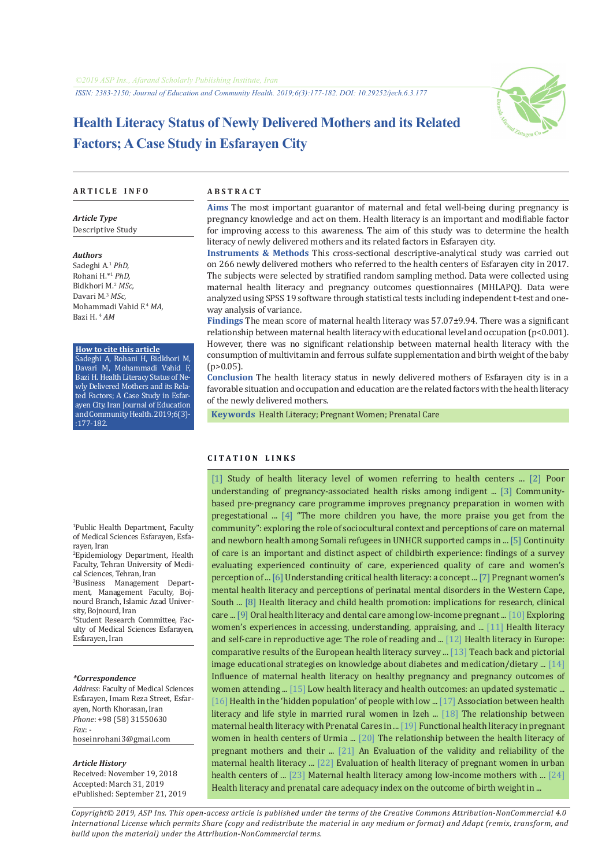

# **Health Literacy Status of Newly Delivered Mothers and its Related Factors; A Case Study in Esfarayen City**

#### **A R T I C L E I N F O A B S T R A C T**

*Article Type* Descriptive Study

#### *Authors*

Sadeghi A.<sup>1</sup>  *PhD,* Rohani H.\*1  *PhD,* Bidkhori M.2 *MSc,* Davari M.<sup>3</sup>  *MSc,* Mohammadi Vahid F.<sup>4</sup>  *MA,*  Bazi H. <sup>4</sup>  *AM*

#### **How to cite this article**

Sadeghi A, Rohani H, Bidkhori M, Davari M, Mohammadi Vahid F, Bazi H. Health Literacy Status of Newly Delivered Mothers and its Related Factors; A Case Study in Esfarayen City. Iran Journal of Education and Community Health. 2019;6(3)- :177-182.

1 Public Health Department, Faculty of Medical Sciences Esfarayen, Esfarayen, Iran

2 Epidemiology Department, Health Faculty, Tehran University of Medical Sciences, Tehran, Iran

3 Business Management Department, Management Faculty, Bojnourd Branch, Islamic Azad University, Bojnourd, Iran

4 Student Research Committee, Faculty of Medical Sciences Esfarayen, Esfarayen, Iran

#### *\*Correspondence*

*Address*: Faculty of Medical Sciences Esfarayen, Imam Reza Street, Esfarayen, North Khorasan, Iran *Phone*: +98 (58) 31550630 *Fax*: hoseinrohani3@gmail.com

#### *Article History*

Received: November 19, 2018 Accepted: March 31, 2019 ePublished: September 21, 2019

**Aims** The most important guarantor of maternal and fetal well-being during pregnancy is pregnancy knowledge and act on them. Health literacy is an important and modifiable factor for improving access to this awareness. The aim of this study was to determine the health literacy of newly delivered mothers and its related factors in Esfarayen city.

**Instruments & Methods** This cross-sectional descriptive-analytical study was carried out on 266 newly delivered mothers who referred to the health centers of Esfarayen city in 2017. The subjects were selected by stratified random sampling method. Data were collected using maternal health literacy and pregnancy outcomes questionnaires (MHLAPQ). Data were analyzed using SPSS 19 software through statistical tests including independent t-test and oneway analysis of variance.

**Findings** The mean score of maternal health literacy was 57.07±9.94. There was a significant relationship between maternal health literacy with educational level and occupation (p<0.001). However, there was no significant relationship between maternal health literacy with the consumption of multivitamin and ferrous sulfate supplementation and birth weight of the baby  $(p>0.05)$ .

**Conclusion** The health literacy status in newly delivered mothers of Esfarayen city is in a favorable situation and occupation and education are the related factors with the health literacy of the newly delivered mothers.

 **Keywords** [Health Literacy](https://www.ncbi.nlm.nih.gov/mesh/68057220); [Pregnant Women](https://www.ncbi.nlm.nih.gov/mesh/68037841); [Prenatal Care](https://www.ncbi.nlm.nih.gov/mesh/68011295)

#### **C I T A T I O N L I N K S**

[[1\]](http://journal.nkums.ac.ir/article-1-271-fa.html) Study of health literacy level of women referring to health centers ... [[2\]](https://bit.ly/2oB6M5d) Poor understanding of pregnancy-associated health risks among indigent ... [[3](https://www.ncbi.nlm.nih.gov/pubmed/29744539)] Communitybased pre-pregnancy care programme improves pregnancy preparation in women with pregestational ... [[4\]](https://conflictandhealth.biomedcentral.com/articles/10.1186/s13031-019-0195-z) "The more children you have, the more praise you get from the community": exploring the role of sociocultural context and perceptions of care on maternal and newborn health among Somali refugees in UNHCR supported camps in ... [[5\]](https://www.ncbi.nlm.nih.gov/pubmed/29310627) Continuity of care is an important and distinct aspect of childbirth experience: findings of a survey evaluating experienced continuity of care, experienced quality of care and women's perception of ... [[6](https://www.ncbi.nlm.nih.gov/pubmed/23419015)] Understanding critical health literacy: a concept ... [[7\]](https://www.sciencedirect.com/science/article/pii/S2212657017300831) Pregnant women's mental health literacy and perceptions of perinatal mental disorders in the Western Cape, South ... [\[8](https://www.ncbi.nlm.nih.gov/pubmed/19861485)] Health literacy and child health promotion: implications for research, clinical care ... [[9\]](https://www.ncbi.nlm.nih.gov/pubmed/31046886) Oral health literacy and dental care among low-income pregnant ... [\[10\]](https://www.ncbi.nlm.nih.gov/pubmed/31050386) Exploring women's experiences in accessing, understanding, appraising, and ... [\[11](http://jne.ir/article-1-822-fa.html)] Health literacy and self-care in reproductive age: The role of reading and ... [\[12](https://www.ncbi.nlm.nih.gov/pubmed/25843827)] Health literacy in Europe: comparative results of the European health literacy survey ... [[13\]](https://www.ncbi.nlm.nih.gov/pubmed/23195913) Teach back and pictorial image educational strategies on knowledge about diabetes and medication/dietary ... [[14\]](https://www.ajol.info/index.php/afrrev/article/view/67336) Influence of maternal health literacy on healthy pregnancy and pregnancy outcomes of women attending ... [\[15](https://www.ncbi.nlm.nih.gov/pubmed/21768583)] Low health literacy and health outcomes: an updated systematic ... [[16](https://www.ncbi.nlm.nih.gov/pubmed/20687946)] Health in the 'hidden population' of people with low ... [\[17\]](http://healthjournal.arums.ac.ir/article-1-1056-fa.html) Association between health literacy and life style in married rural women in Izeh ... [\[18](http://eprints.mums.ac.ir/10521/)] The relationship between maternal health literacy with Prenatal Cares in ... [\[19](http://unmf.umsu.ac.ir/article-1-3179-fa.html)] Functional health literacy in pregnant women in health centers of Urmia ... [[20](http://ijogi.mums.ac.ir/article_8187.html)] The relationship between the health literacy of pregnant mothers and their ... [[21\]](http://hsr.mui.ac.ir/index.php/jhsr/article/view/2828) An Evaluation of the validity and reliability of the maternal health literacy ... [\[22](http://daneshvarmed.shahed.ac.ir/article-1-480-fa.html)] Evaluation of health literacy of pregnant women in urban health centers of ... [[23\]](https://repositories.lib.utexas.edu/handle/2152/40335) Maternal health literacy among low-income mothers with ... [[24\]](https://www.sid.ir/fa/journal/ViewPaper.aspx?id=310179) Health literacy and prenatal care adequacy index on the outcome of birth weight in ...

*Copyright© 2019, ASP Ins. This open-access article is published under the terms of the Creative Commons Attribution-NonCommercial 4.0 International License which permits Share (copy and redistribute the material in any medium or format) and Adapt (remix, transform, and build upon the material) under the Attribution-NonCommercial terms.*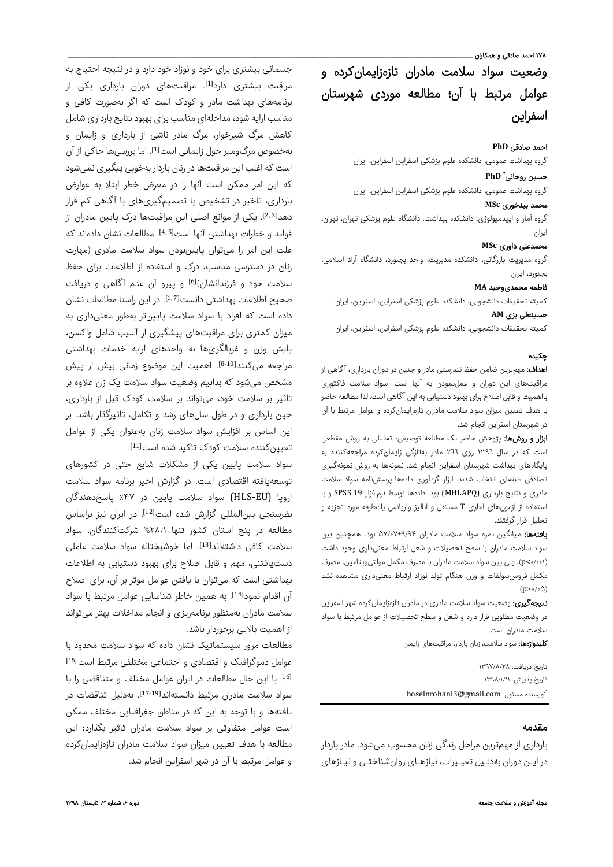.<br>۱۷۸ احمد صادقی و همکاران ـ

وضعیت سواد سلامت مادران تازهزایمانکرده و عوامل مرتبط با آن؛ مطالعه موردی شهرستان اسفراین

## احمد صادقی **PhD**

گروه بهداشت عمومی، دانشکده علوم پزشکی اسفراین اسفراین، ایران

## **PhD** \* حسین روحانی

گروه بهداشت عمومی، دانشکده علوم پزشکی اسفراین اسفراین، ایران

## محمد بیدخور ی **MSc**

گروه آمار و اپیدمیولوژی، دانشکده بهداشت، دانشگاه علوم پزشکی تهران، تهران، ایران

## محمدعلی داور ی **MSc**

گروه مدیریت بازرگانی، دانشکده مدیریت، واحد بجنورد، دانشگاه آزاد اسلامی، بجنورد، ایران

## فاطمه محمدیوحید **MA**

کمیته تحقیقات دانشجویی، دانشکده علوم پزشکی اسفراین، اسفراین، ایران

## حسینعلی بز ی **AM**

کمیته تحقیقات دانشجویی، دانشکده علوم پزشکی اسفراین، اسفراین، ایران

## چکيده

ا**هداف:** مهمترین ضامن حفظ تندرستی مادر و جنین در دوران بارداری، آگاهی از مراقبتهای این دوران و عملنمودن به آنها است. سواد سلامت فاکتوری بااهمیت و قابل اصلاح برای بهبود دستیابی به این آگاهی است. لذا مطالعه حاضر با هدف تعیین میزان سواد سلامت مادران تازهزایمانکرده و عوامل مرتبط با آن در شهرستان اسفراین انجام شد.

ا**بزار و روشها:** پژوهش حاضر یک مطالعه توصیفی- تحلیلی به روش مقطعی است که در سال ١٣٩٦ روی ٢٦٦ مادر بهتازگی زایمانکرده مراجعهکننده به پایگاههای بهداشت شهرستان اسفراین انجام شد. نمونهها به روش نمونهگیری تصادفی طبقهای انتخاب شدند. ابزار گردآوری دادهها پرسشنامه سواد سلامت مادری و نتایج بارداری (MHLAPQ (بود. دادهها توسط نرمافزار 19 SPSS و با استفاده از آزمونهای آماری T مستقل و آناليز واريانس يكطرفه مورد تجزیه و تحلیل قرار گرفتند.

یافتهها: میانگین نمره سواد سلامت مادران ۵۷/۰۷±۹/۹۴ بود. همچنین بین سواد سلامت مادران با سطح تحصیلات و شغل ارتباط معنیداری وجود داشت (۰/۰۰۱>p(، ولی بین سواد سلامت مادران با مصرف مکمل مولتیویتامین، مصرف مکمل فروسسولفات و وزن هنگام تولد نوزاد ارتباط معنیداری مشاهده نشد .(p>۰/۰۵)

**نتیجهگیری:** وضعیت سواد سلامت مادری در مادران تازهزایمانکرده شهر اسفراین در وضعیت مطلوبی قرار دارد و شغل و سطح تحصیلات از عوامل مرتبط با سواد سلامت مادران است.

کلیدواژهها: سواد سلامت، زنان باردار، مراقبتهای زایمان

تاريخ دريافت: ۱۳۹۷/۸/۲۸ تاريخ پذيرش: ۱۳۹۸/۱/۱۱ \* hoseinrohani3@gmail.com :مسئول نويسنده

### مقدمه

بارداری از مهمترین مراحل زندگی زنان محسوب میشود. مادر باردار در ایـن دوران بهدلـیل تغیـیرات، نیازهـای روانشناختـی و نیـازهای

جسمانی بیشتری برای خود و نوزاد خود دارد و در نتیجه احتیاج به مراقبت بیشتری دارد<sup>[1]</sup>. مراقبتهای دوران بارداری یکی از برنامههای بهداشت مادر و کودک است که اگر بهصورت کافی و مناسب ارایه شود،مداخلهای مناسب برای بهبود نتایج بارداری شامل کاهش مرگ شیرخوار، مرگ مادر ناشی از بارداری و زایمان و بهخصوص مرگ0ومیر حول زایمانی است<sup>[1]</sup>. اما بررسیها حاکی از آن است که اغلب این مراقبتها در زنان باردار بهخوبی پیگیری نمیشود که این امر ممکن است آنها را در معرض خطر ابتلا به عوارض بارداری، تاخیر در تشخیص یا تصمیمگیریهای با آگاهی کم قرار دهدا<sup>2,3</sup>]. یکی از موانع اصلی این مراقبتها درک پایین مادران از فواید و خطرات بهداشتی آنها است<sup>[4,5]</sup>. مطالعات نشان دادهاند که علت این امر را میتوان پایینبودن سواد سلامت مادری (مهارت زنان در دسترسی مناسب، درک و استفاده از اطلاعات برای حفظ سلامت خود و فرزندانشان)[6] و پیرو آن عدم آگاهی و دریافت صحیح اطلاعات بهداشتی دانست[7 1,]. در این راستا مطالعات نشان داده است که افراد با سواد سلامت پایینتر بهطور معنیداری به میزان کمتری برای مراقبتهای پیشگیری از آسیب شامل واکسن، پایش وزن و غربالگریها به واحدهای ارایه خدمات بهداشتی مراجعه میکنند<sup>[8-10</sup>]. اهمیت این موضوع زمانی بیش از پیش مشخص میشود که بدانیم وضعیت سواد سلامت یک زن علاوه بر تاثیر بر سلامت خود، میتواند بر سلامت کودک قبل از بارداری، حین بارداری و در طول سالهای رشد و تکامل، تاثیرگذار باشد. بر این اساس بر افزایش سواد سلامت زنان بهعنوان یکی از عوامل تعیین *ک*ننده سلامت کودک تاکید شده است<sup>[11]</sup>.

سواد سلامت پایین یکی از مشکلات شایع حتی در کشورهای توسعهیافته اقتصادی است. در گزارش اخیر برنامه سواد سلامت اروپا (EU‐HLS (سواد سلامت پایین در ٪۴۷ پاسخدهندگان نظرسنجی بین المللی گزارش شده است<sup>[12]</sup>. در ایران نیز براساس مطالعه در پنج استان کشور تنها %۲۸٫۱ شرکتکنندگان، سواد سلامت کافی داشتهاند[13]. اما خوشبختانه سواد سلامت عاملی دستیافتنی، مهم و قابل اصلاح برای بهبود دستیابی به اطلاعات بهداشتی است که میتوان با یافتن عوامل موثر بر آن، برای اصلاح آن اقدام نمود<sup>[14]</sup>. به همین خاطر شناسایی عوامل مرتبط با سواد سلامت مادران بهمنظور برنامهریزی و انجام مداخلات بهتر میتواند از اهمیت بالایی برخوردار باشد.

مطالعات مرور سیستماتیک نشان داده که سواد سلامت محدود با عوامل دموگرافیک و اقتصادی و اجتماعی مختلفی مرتبط است<sup>15,</sup> . با این حال مطالعات در ایران عوامل مختلف و متناقضی را با [16 سواد سلامت مادران مرتبط دانستهاند[19‐17]. بهدلیل تناقضات در یافتهها و با توجه به این که در مناطق جغرافیایی مختلف ممکن است عوامل متفاوتی بر سواد سلامت مادران تاثیر بگذارد؛ این مطالعه با هدف تعیین میزان سواد سلامت مادران تازهزایمانکرده و عوامل مرتبط با آن در شهر اسفراین انجام شد.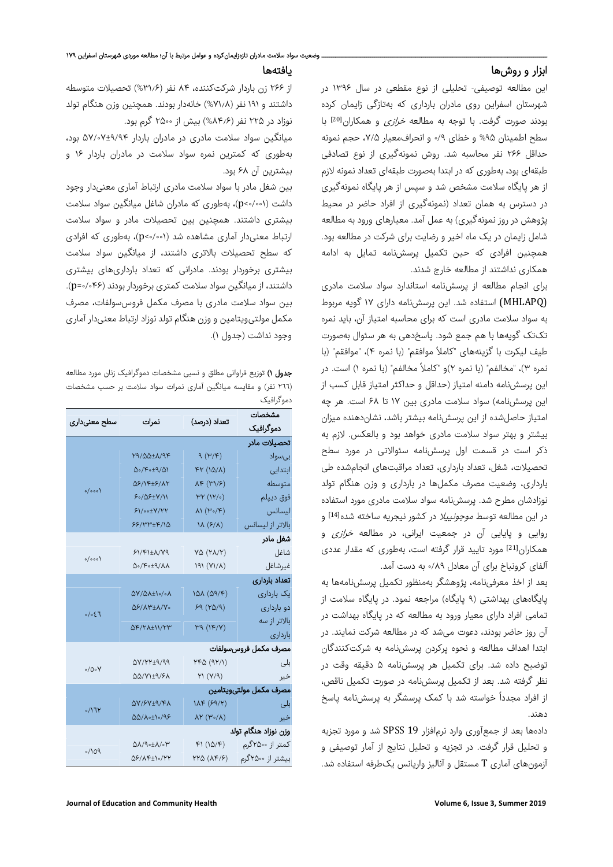## ابزار و روشها

این مطالعه توصیفی- تحلیلی از نوع مقطعی در سال ۱۳۹۶ در شهرستان اسفراین روی مادران بارداری که بهتازگی زایمان کرده بودند صورت گرفت. با توجه به مطالعه *خرازی* و همکاران<sup>[20]</sup> با سطح اطمینان %۹۵ و خطای ۰/۹ و انحرافمعیار ،۷/۵ حجم نمونه حداقل ۲۶۶ نفر محاسبه شد. روش نمونهگیری از نوع تصادفی طبقهای بود، بهطوری که در ابتدا بهصورت طبقهای تعداد نمونه لازم از هر پایگاه سلامت مشخص شد و سپس از هر پایگاه نمونهگیری در دسترس به همان تعداد (نمونهگیری از افراد حاضر در محیط پژوهش در روز نمونهگیری) به عمل آمد. معیارهای ورود به مطالعه شامل زایمان در یک ماه اخیر و رضایت برای شرکت در مطالعه بود. همچنین افرادی که حین تکمیل پرسشنامه تمایل به ادامه همکاری نداشتند از مطالعه خارج شدند.

برای انجام مطالعه از پرسشنامه استاندارد سواد سلامت مادری (MHLAPQ (استفاده شد. این پرسشنامه دارای ۱۷ گویه مربوط به سواد سلامت مادری است که برای محاسبه امتیاز آن، باید نمره تکتک گویهها با هم جمع شود. پاسخدهی به هر سئوال بهصورت طیف لیکرت با گزینههای "کاملاً موافقم" (با نمره ۴)، "موافقم" (با نمره ۳)، "مخالفم" (با نمره ۲)و "کاملاً مخالفم" (با نمره ۱) است. در این پرسشنامه دامنه امتیاز (حداقل و حداکثر امتیاز قابل کسب از این پرسشنامه) سواد سلامت مادری بین ۱۷ تا ۶۸ است. هر چه امتیاز حاصلشده از این پرسشنامه بیشتر باشد، نشاندهنده میزان بیشتر و بهتر سواد سلامت مادری خواهد بود و بالعکس. لازم به ذکر است در قسمت اول پرسشنامه سئوالاتی در مورد سطح تحصیلات، شغل، تعداد بارداری، تعداد مراقبتهای انجامشده طی بارداری، وضعیت مصرف مکملها در بارداری و وزن هنگام تولد نوزادشان مطرح شد. پرسشنامه سواد سلامت مادری مورد استفاده در این مطالعه توسط *موجونییلا* در کشور نیجریه ساخته شده<sup>[14]</sup> و روایی و پایایی آن در جمعیت ایرانی، در مطالعه *خرازی* و همکاران[21] مورد تایید قرار گرفته است، بهطوری که مقدار عددی آلفای کرونباخ برای آن معادل ۰/۸۹ به دست آمد.

بعد از اخذ معرفینامه، پژوهشگر بهمنظور تکمیل پرسشنامهها به پایگاههای بهداشتی (۹ پایگاه) مراجعه نمود. در پایگاه سلامت از تمامی افراد دارای معیار ورود به مطالعه که در پایگاه بهداشت در آن روز حاضر بودند، دعوت میشد که در مطالعه شرکت نمایند. در ابتدا اهداف مطالعه و نحوه پرکردن پرسشنامه به شرکتکنندگان توضیح داده شد. برای تکمیل هر پرسشنامه ۵ دقیقه وقت در نظر گرفته شد. بعد از تکمیل پرسشنامه در صورت تکمیل ناقص، از افراد مجدداً خواسته شد با کمک پرسشگر به پرسش،نامه پاسخ دهند.

دادهها بعد از جمعآوری وارد نرمافزار 19 SPSS شد و مورد تجزیه و تحلیل قرار گرفت. در تجزیه و تحلیل نتایج از آمار توصیفی و آزمونهای آماری T مستقل و آنالیز واریانس یکطرفه استفاده شد.

#### یافتهها

از ۲۶۶ زن باردار شرکتکننده، ۸۴ نفر (%۳۱٫۶) تحصیلات متوسطه داشتند و ۱۹۱ نفر (%۷۱٫۸) خانهدار بودند. همچنین وزن هنگام تولد نوزاد در ۲۲۵ نفر (%۸۴٫۶) بیش از ۲۵۰۰ گرم بود.

میانگین سواد سلامت مادری در مادران باردار ۵۷/۰۷±۹/۹۴ بود، بهطوری که کمترین نمره سواد سلامت در مادران باردار ۱۶ و بیشترین آن ۶۸ بود.

بین شغل مادر با سواد سلامت مادری ارتباط آماری معنیدار وجود داشت (۰/۰۰۱>p(، بهطوری که مادران شاغل میانگین سواد سلامت بیشتری داشتند. همچنین بین تحصیلات مادر و سواد سلامت ارتباط معنیدار آماری مشاهده شد (۰/۰۰۱>p(، بهطوری که افرادی که سطح تحصیلات بالاتری داشتند، از میانگین سواد سلامت بیشتری برخوردار بودند. مادرانی که تعداد بارداریهای بیشتری داشتند، از میانگین سواد سلامت کمتری برخوردار بودند (۰/۰۴۶=p(. بین سواد سلامت مادری با مصرف مکمل فروسسولفات، مصرف مکمل مولتیویتامین و وزن هنگام تولدنوزاد ارتباط معنیدار آماری وجود نداشت (جدول ۱).

جدول <sup>١</sup>) توزیع فراوانی مطلق <sup>و</sup> نسبی مشخصات دموگرافیک زنان مورد مطالعه (٢٦٦ نفر) و مقایسه میانگین آماری نمرات سواد سلامت بر حسب مشخصات دموگرافیک

| سطح معنىدارى           | نمرات                                                                      | تعداد (درصد)                                                                 | مشخصات           |
|------------------------|----------------------------------------------------------------------------|------------------------------------------------------------------------------|------------------|
|                        |                                                                            |                                                                              | دموگرافیک        |
| تحصيلات مادر           |                                                                            |                                                                              |                  |
| $o/$ 000)              | 79/QQ±1/9F                                                                 | $\left( \frac{\gamma}{\gamma} \right)$ $\beta$                               | بىسواد           |
|                        | $\Delta \circ / \mathfrak{F} \circ \pm \mathfrak{A} / \Delta \mathfrak{h}$ | $\mathfrak{F} \mathfrak{h} \ (\mathfrak{h} \mathfrak{A} / \mathfrak{h})$     | ابتدایی          |
|                        | <b>QS/IF±S/AY</b>                                                          | $\lambda \kappa (\Psi)/\xi)$                                                 | متوسطه           |
|                        | ۶۰/۵۶±۷/۱۱                                                                 | ۳۲ (۱۲/۰)                                                                    | فوق ديپلم        |
|                        | <b>۶</b> ۱/00±۷/۲۲                                                         | ۸۱ (۳۰/۴)                                                                    | ليسانس           |
|                        | 88/۳۳±۴/14                                                                 | $\lambda(\epsilon/\lambda)$                                                  | بالاتر از ليسانس |
| شغل مادر               |                                                                            |                                                                              |                  |
| $o/$ ooo)              | 61/61±1/79                                                                 | $\mathsf{Y}\mathsf{\Delta}\;\big(\mathsf{Y}\mathsf{\Lambda}/\mathsf{Y}\big)$ | شاغل             |
|                        | <b>Do/Fo±9/AA</b>                                                          | $(19)$ $(Y)/\lambda$                                                         | غيرشاغل          |
| تعداد باردارى          |                                                                            |                                                                              |                  |
| 0/057                  | <b>QA\QY+Jo\oY</b>                                                         | ۱۵۸ (۵۹/۴)                                                                   | یک بارداری       |
|                        | <b>Q&amp;/A\+x/Yo</b>                                                      | 59 (YQ)                                                                      | دو بارداری       |
|                        | <b>SF/YA±II/YW</b>                                                         | M(1F/Y)                                                                      | بالاتر از سه     |
|                        |                                                                            |                                                                              | باردارى          |
| مصرف مكمل فروسسولفات   |                                                                            |                                                                              |                  |
| $0/0$ o $V$            | AV/۲۲±٩/٩٩                                                                 | YFA(1Y/1)                                                                    | بلى              |
|                        | <b>ARAIVITION</b>                                                          | (Y(Y)                                                                        | خير              |
| مصرف مكمل مولتىويتأمين |                                                                            |                                                                              |                  |
| 0/17                   | 57/6774/67                                                                 | $1\lambda F$ (۶۹/۲)                                                          | بلی              |
|                        | <b>QQ/A</b> .tl./98                                                        | $\Lambda$ ۲ (۳۰/ $\Lambda$ )                                                 | خير              |
| وزن نوزاد هنگام تولد   |                                                                            |                                                                              |                  |
| 0/109                  | <b>QV</b> /d° <sub>+</sub> V/°h                                            | F1 (10/F)                                                                    | کمتر از ۲۵۰۰گرم  |
|                        | <b>Q&amp;/ AF+1./77</b>                                                    | ۲۲۵ (۸۴/۶)                                                                   | بیشتر از ۲۵۰۰گرم |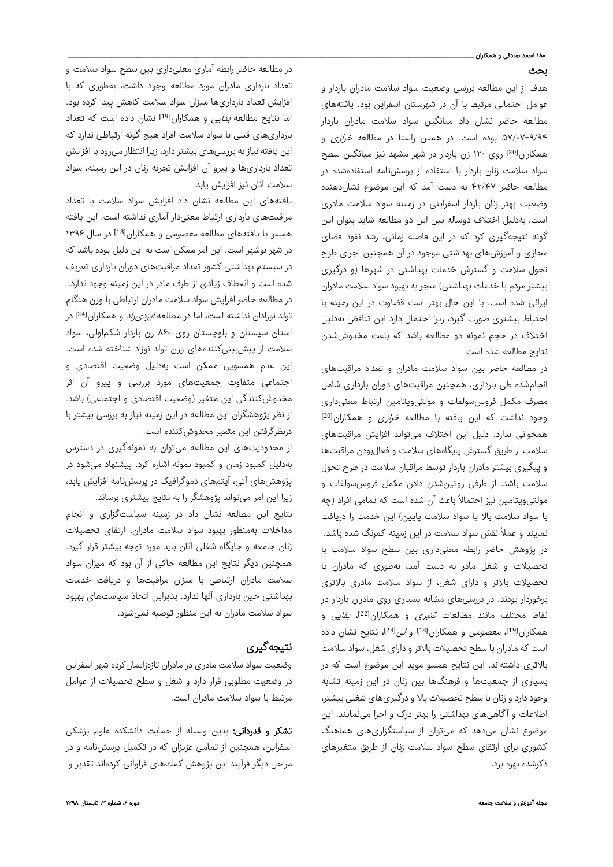# ۱۸۰ احمد صادقی و همکاران .

## بحث

هدف از این مطالعه بررسی وضعیت سواد سلامت مادران باردار و عوامل احتمالی مرتبط با آن در شهرستان اسفراین بود. یافتههای مطالعه حاضر نشان داد میانگین سواد سلامت مادران باردار ۵۷/۰۷±۹/۹۴ بوده است. در همین راستا در مطالعه خرازی و همکاران[20] روی ۱۲۰ زن باردار در شهر مشهد نیز میانگین سطح سواد سلامت زنان باردار با استفاده از پرسشنامه استفادهشده در مطالعه حاضر ۴۲/۴۷ به دست آمد که این موضوع نشاندهنده وضعیت بهتر زنان باردار اسفراینی در زمینه سواد سلامت مادری است. بهدلیل اختلاف دوساله بین این دو مطالعه شاید بتوان این گونه نتیجهگیری کرد که در این فاصله زمانی، رشد نفوذ فضای مجازی و آموزشهای بهداشتی موجود در آن همچنین اجرای طرح تحول سلامت و گسترش خدمات بهداشتی در شهرها (و درگیری بیشتر مردم با خدمات بهداشتی) منجر به بهبود سواد سلامت مادران ایرانی شده است. با این حال بهتر است قضاوت در این زمینه با احتیاط بیشتری صورت گیرد، زیرا احتمال دارد این تناقض بهدلیل اختلاف در حجم نمونه دو مطالعه باشد که باعث مخدوششدن نتایج مطالعه شده است.

در مطالعه حاضر بین سواد سلامت مادران و تعداد مراقبتهای انجامشده طی بارداری، همچنین مراقبتهای دوران بارداری شامل مصرف مکمل فروسسولفات و مولتیویتامین ارتباط معنیداری وجود نداشت که این یافته با مطالعه *خرازی* و همکاران<sup>[20]</sup> همخوانی ندارد. دلیل این اختلاف میتواند افزایش مراقبتهای سلامت از طریق گسترش پایگاههای سلامت و فعالبودن مراقبتها و پیگیری بیشتر مادران باردار توسط مراقبان سلامت در طرح تحول سلامت باشد. از طرفی روتینشدن دادن مکمل فروسسولفات و مولتیویتامین نیز احتمالاً باعث آن شده است که تمامی افراد (چه با سواد سلامت بالا یا سواد سلامت پایین) این خدمت را دریافت نمایند و عملاً نقش سواد سلامت در این زمینه کمرنگ شده باشد. در پژوهش حاضر رابطه معنیداری بین سطح سواد سلامت با تحصیلات و شغل مادر به دست آمد، بهطوری که مادران با تحصیلات بالاتر و دارای شغل، از سواد سلامت مادری بالاتری برخوردار بودند. در بررسیهای مشابه بسیاری روی مادران باردار در نقاط مختلف مانند مطالعات *قنبری* و همکاران<sup>[22]</sup>، *بقایی* و همکاران[19]، معصومی و همکاران[18] و لی[23]، نتایج نشان داده است که مادران با سطح تحصیلات بالاتر و دارای شغل، سواد سلامت بالاتری داشتهاند. این نتایج همسو موید این موضوع است که در بسیاری از جمعیتها و فرهنگها بین زنان در این زمینه تشابه وجود دارد و زنان با سطح تحصیلات بالا و درگیریهای شغلی بیشتر، اطلاعات و آگاهیهای بهداشتی را بهتر درک و اجرا مینمایند. این موضوع نشان میدهد که میتوان از سیاستگزاریهای هماهنگ کشوری برای ارتقای سطح سواد سلامت زنان از طریق متغیرهای ذکرشده بهره برد.

در مطالعه حاضر رابطه آماری معنیداری بین سطح سواد سلامت و تعداد بارداری مادران مورد مطالعه وجود داشت، بهطوری که با افزایش تعداد بارداریها میزان سواد سلامت کاهش پیدا کرده بود. اما نتایج مطالعه *بقایی* و همکاران<sup>[19]</sup> نشان داده است که تعداد بارداریهای قبلی با سواد سلامت افراد هیچ گونه ارتباطی ندارد که این یافته نیاز به بررسیهای بیشتر دارد، زیرا انتظار میرود با افزایش تعداد بارداریها و پیرو آن افزایش تجربه زنان در این زمینه، سواد سلامت آنان نیز افزایش یابد.

یافتههای این مطالعه نشان داد افزایش سواد سلامت با تعداد مراقبتهای بارداری ارتباط معنیدار آماری نداشته است. این یافته همسو با یافتههای مطالعه معصومی و همکاران[18] در سال ۱۳۹۶ در شهر بوشهر است. این امر ممکن است به این دلیل بوده باشد که در سیستم بهداشتی کشور تعداد مراقبتهای دوران بارداری تعریف شده است و انعطاف زیادی از طرف مادر در این زمینه وجود ندارد. در مطالعه حاضر افزایش سواد سلامت مادران ارتباطی با وزن هنگام تولد نوزادان نداشته است، اما در مطالعه *ایزدی راد* و همکاران<sup>[24]</sup> در استان سیستان و بلوچستان روی ۸۶۰ زن باردار شکماولی، سواد سلامت از پیشبینیکنندههای وزن تولد نوزاد شناخته شده است. این عدم همسویی ممکن است بهدلیل وضعیت اقتصادی و اجتماعی متفاوت جمعیتهای مورد بررسی و پیرو آن اثر مخدوشکنندگی این متغیر (وضعیت اقتصادی و اجتماعی) باشد. از نظر پژوهشگران این مطالعه در این زمینه نیاز به بررسی بیشتر با درنظرگرفتن این متغیر مخدوشکننده است.

از محدودیتهای این مطالعه میتوان به نمونهگیری در دسترس بهدلیل کمبود زمان و کمبود نمونه اشاره کرد. پیشنهاد میشود در پژوهشهای آتی، آیتمهای دموگرافیک در پرسشنامه افزایش یابد، زیرا این امر میتواند پژوهشگر را به نتایج بیشتری برساند.

نتایج این مطالعه نشان داد در زمینه سیاستگزاری و انجام مداخلات بهمنظور بهبود سواد سلامت مادران، ارتقای تحصیلات زنان جامعه و جایگاه شغلی آنان باید مورد توجه بیشتر قرار گیرد. همچنین دیگر نتایج این مطالعه حاکی از آن بود که میزان سواد سلامت مادران ارتباطی با میزان مراقبتها و دریافت خدمات بهداشتی حین بارداری آنها ندارد. بنابراین اتخاذ سیاستهای بهبود سواد سلامت مادران به این منظور توصیه نمیشود.

# نتیجهگیری

وضعیت سواد سلامت مادری در مادران تازهزایمانکرده شهر اسفراین در وضعیت مطلوبی قرار دارد و شغل و سطح تحصیلات از عوامل مرتبط با سواد سلامت مادران است.

<mark>تشکر و قدردانی:</mark> بدین وسیله از حمایت دانشکده علوم پزشکی اسفراین، همچنین از تمامی عزیزان که در تکمیل پرسشنامه و در مراحل دیگر فرآیند این پژوهش کمكهای فراوانی کردهاند تقدیر و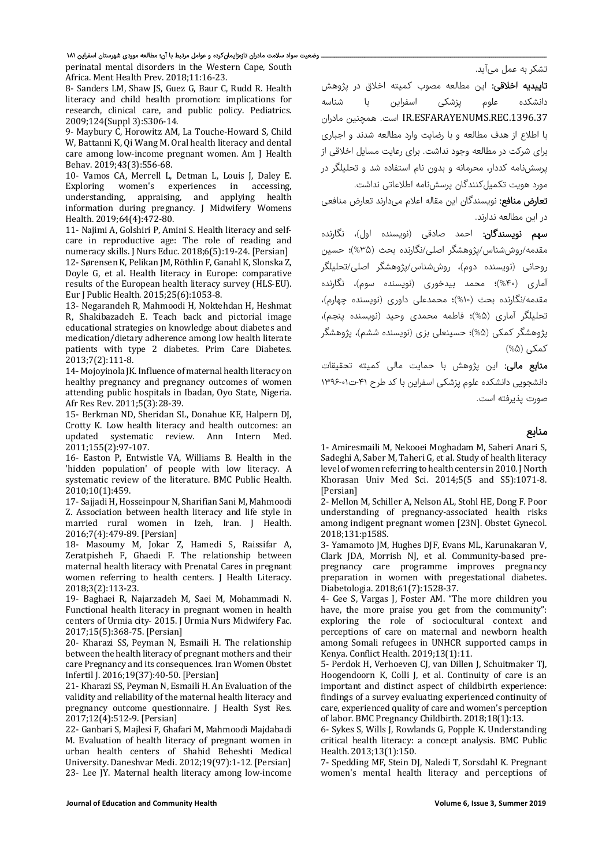#### وضعیت سواد سلامت مادران تازهزایمانکرده و عوامل مرتبط با آن؛ مطالعه موردی شهرستان اسفراین ۱۸۱

perinatal mental disorders in the Western Cape, South Africa. Ment Health Prev. 2018;11:16-23.

8- Sanders LM, Shaw JS, Guez G, Baur C, Rudd R. Health literacy and child health promotion: implications for research, clinical care, and public policy. Pediatrics. 2009;124(Suppl 3):S306-14.

9- Maybury C, Horowitz AM, La Touche-Howard S, Child W, Battanni K, Qi Wang M. Oral health literacy and dental care among low-income pregnant women. Am I Health Behav. 2019;43(3):556‐68. 

10– Vamos CA, Merrell L, Detman L, Louis J, Daley E.<br>Exploring women's experiences in accessing, women's experiences in accessing, understanding, appraising, and applying health information during pregnancy. J Midwifery Womens Health. 2019;64(4):472-80.

11- Najimi A, Golshiri P, Amini S. Health literacy and selfcare in reproductive age: The role of reading and numeracy skills. J Nurs Educ. 2018;6(5):19-24. [Persian] 12- Sørensen K, Pelikan JM, Röthlin F, Ganahl K, Slonska Z, Doyle G, et al. Health literacy in Europe: comparative results of the European health literacy survey (HLS-EU). Eur J Public Health. 2015;25(6):1053-8.

13- Negarandeh R, Mahmoodi H, Noktehdan H, Heshmat R, Shakibazadeh E. Teach back and pictorial image educational strategies on knowledge about diabetes and medication/dietary adherence among low health literate patients with type 2 diabetes. Prim Care Diabetes. 2013;7(2):111‐8. 

14- Mojoyinola JK. Influence of maternal health literacy on healthy pregnancy and pregnancy outcomes of women attending public hospitals in Ibadan, Oyo State, Nigeria. Afr Res Rev. 2011;5(3):28-39.

15- Berkman ND, Sheridan SL, Donahue KE, Halpern DJ, Crotty K. Low health literacy and health outcomes: an updated systematic review. Ann Intern Med. 2011;155(2):97‐107. 

16- Easton P, Entwistle VA, Williams B, Health in the 'hidden population' of people with low literacy. A systematic review of the literature. BMC Public Health. 2010;10(1):459. 

17 - Sajjadi H, Hosseinpour N, Sharifian Sani M, Mahmoodi Z. Association between health literacy and life style in married rural women in Izeh, Iran. J Health. 2016;7(4):479‐89. [Persian] 

18- Masoumy M, Jokar Z, Hamedi S, Raissifar A, Zeratpisheh F, Ghaedi F. The relationship between maternal health literacy with Prenatal Cares in pregnant women referring to health centers. J Health Literacy. 2018;3(2):113‐23. 

19- Baghaei R, Najarzadeh M, Saei M, Mohammadi N. Functional health literacy in pregnant women in health centers of Urmia city- 2015. J Urmia Nurs Midwifery Fac. 2017;15(5):368‐75. [Persian] 

20- Kharazi SS, Peyman N, Esmaili H, The relationship between the health literacy of pregnant mothers and their care Pregnancy and its consequences. Iran Women Obstet Infertil J. 2016;19(37):40-50. [Persian]

21- Kharazi SS, Peyman N, Esmaili H. An Evaluation of the validity and reliability of the maternal health literacy and pregnancy outcome questionnaire. J Health Syst Res. 2017;12(4):512‐9. [Persian] 

22- Ganbari S, Majlesi F, Ghafari M, Mahmoodi Majdabadi M. Evaluation of health literacy of pregnant women in urban health centers of Shahid Beheshti Medical University. Daneshvar Medi. 2012;19(97):1-12. [Persian] 23‐ Lee JY. Maternal health literacy among low‐income 

تشکر به عمل میآید.

تاییدیه اخلاقی: این مطالعه مصوب کمیته اخلاق در پژوهش دانشکده علوم پزشکی اسفراین با شناسه .1396.37REC.ESFARAYENUMS.IR است. همچنین مادران با اطلاع از هدف مطالعه و با رضایت وارد مطالعه شدند و اجباری برای شرکت در مطالعه وجود نداشت. برای رعایت مسایل اخلاقی از پرسشنامه کددار، محرمانه و بدون نام استفاده شد و تحلیلگر در مورد هویت تکمیلکنندگان پرسشنامه اطلاعاتی نداشت.

تعارض منافع: نویسندگان این مقاله اعلام میدارند تعارض منافعی در این مطالعه ندارند.

سهم نویسندگان: احمد صادقی (نویسنده اول)، نگارنده مقدمه/روششناس/پژوهشگر اصلی/نگارنده بحث (%۳۵)؛ حسین روحانی (نویسنده دوم)، روششناس/پژوهشگر اصلی/تحلیلگر آماری (%۴۰)؛ محمد بیدخوری (نویسنده سوم)، نگارنده مقدمه/نگارنده بحث (%۱۰)؛ محمدعلی داوری (نویسنده چهارم)، تحلیلگر آماری (%۵)؛ فاطمه محمدی وحید (نویسنده پنجم)، پژوهشگر کمکی (%۵)؛ حسینعلی بزی (نویسنده ششم)، پژوهشگر کمکی (%۵)

م**نابع مالی:** این پژوهش با حمایت مالی کمیته تحقیقات دانشجویی دانشکده علوم پزشکی اسفراین با کد طرح -۴۱ت۱۳۹۶-۰۱ صورت پذیرفته است.

#### منابع

1- Amiresmaili M, Nekooei Moghadam M, Saberi Anari S, Sadeghi A, Saber M, Taheri G, et al. Study of health literacy level of women referring to health centers in 2010. I North Khorasan Univ Med Sci. 2014;5(5 and S5):1071-8. [Persian] 

2- Mellon M, Schiller A, Nelson AL, Stohl HE, Dong F. Poor understanding of pregnancy-associated health risks among indigent pregnant women [23N]. Obstet Gynecol. 2018;131:p158S. 

3- Yamamoto JM, Hughes DJF, Evans ML, Karunakaran V, Clark JDA, Morrish NJ, et al. Community-based prepregnancy care programme improves pregnancy preparation in women with pregestational diabetes. Diabetologia. 2018;61(7):1528‐37. 

4- Gee S, Vargas J, Foster AM. "The more children you have, the more praise you get from the community": exploring the role of sociocultural context and perceptions of care on maternal and newborn health among Somali refugees in UNHCR supported camps in Kenya. Conflict Health. 2019;13(1):11.

5- Perdok H, Verhoeven CJ, van Dillen J, Schuitmaker TJ, Hoogendoorn K, Colli J, et al. Continuity of care is an important and distinct aspect of childbirth experience: findings of a survey evaluating experienced continuity of care, experienced quality of care and women's perception of labor. BMC Pregnancy Childbirth. 2018;18(1):13.

6- Sykes S, Wills J, Rowlands G, Popple K. Understanding critical health literacy: a concept analysis. BMC Public Health. 2013;13(1):150. 

7- Spedding MF, Stein DJ, Naledi T, Sorsdahl K. Pregnant women's mental health literacy and perceptions of